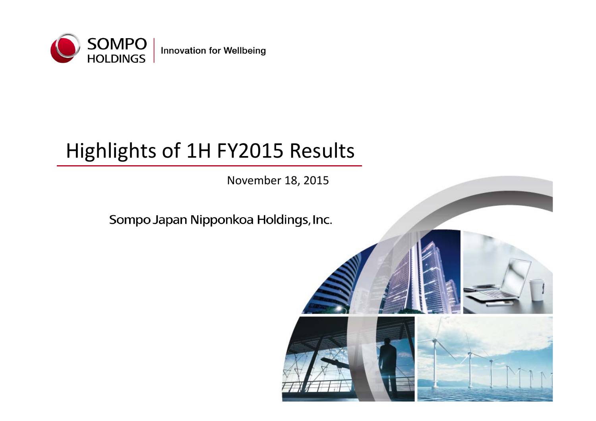

**Innovation for Wellbeing** 

# Highlights of 1H FY2015 Results

November 18, 2015

# Sompo Japan Nipponkoa Holdings, Inc.

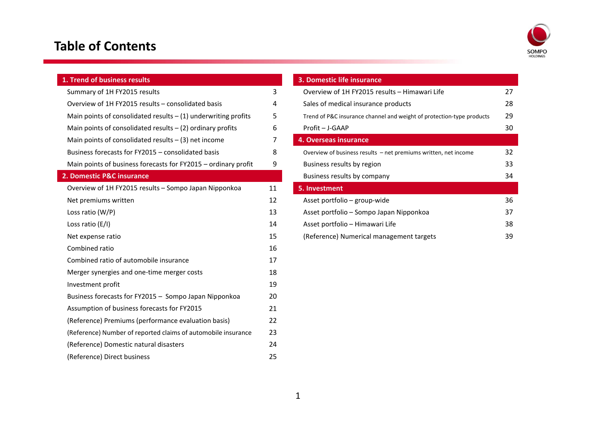### **Table of Contents**



| 1. Trend of business results                                     |    | 3. Domestic life insurance     |
|------------------------------------------------------------------|----|--------------------------------|
| Summary of 1H FY2015 results                                     | 3  | Overview of 1H FY2015 re       |
| Overview of 1H FY2015 results - consolidated basis               | 4  | Sales of medical insurance     |
| Main points of consolidated results $-$ (1) underwriting profits | 5  | Trend of P&C insurance chann   |
| Main points of consolidated results $-$ (2) ordinary profits     | 6  | Profit - J-GAAP                |
| Main points of consolidated results $-$ (3) net income           | 7  | 4. Overseas insurance          |
| Business forecasts for FY2015 - consolidated basis               | 8  | Overview of business results - |
| Main points of business forecasts for FY2015 - ordinary profit   | 9  | Business results by region     |
| 2. Domestic P&C insurance                                        |    | Business results by compa      |
| Overview of 1H FY2015 results - Sompo Japan Nipponkoa            | 11 | 5. Investment                  |
| Net premiums written                                             | 12 | Asset portfolio - group-wi     |
| Loss ratio $(W/P)$                                               | 13 | Asset portfolio - Sompo Ja     |
| Loss ratio (E/I)                                                 | 14 | Asset portfolio - Himawar      |
| Net expense ratio                                                | 15 | (Reference) Numerical ma       |
| Combined ratio                                                   | 16 |                                |
| Combined ratio of automobile insurance                           | 17 |                                |
| Merger synergies and one-time merger costs                       | 18 |                                |
| Investment profit                                                | 19 |                                |
| Business forecasts for FY2015 - Sompo Japan Nipponkoa            | 20 |                                |
| Assumption of business forecasts for FY2015                      | 21 |                                |
| (Reference) Premiums (performance evaluation basis)              | 22 |                                |
| (Reference) Number of reported claims of automobile insurance    | 23 |                                |
| (Reference) Domestic natural disasters                           | 24 |                                |
| (Reference) Direct business                                      | 25 |                                |

|    | 3. Domestic life insurance                                            |    |
|----|-----------------------------------------------------------------------|----|
| 3  | Overview of 1H FY2015 results - Himawari Life                         | 27 |
| 4  | Sales of medical insurance products                                   | 28 |
| 5  | Trend of P&C insurance channel and weight of protection-type products | 29 |
| 6  | Profit - J-GAAP                                                       | 30 |
|    | 4. Overseas insurance                                                 |    |
| 8  | Overview of business results $-$ net premiums written, net income     | 32 |
| 9  | Business results by region                                            | 33 |
|    | Business results by company                                           | 34 |
| 11 | 5. Investment                                                         |    |
| 12 | Asset portfolio – group-wide                                          | 36 |
| 13 | Asset portfolio – Sompo Japan Nipponkoa                               | 37 |
| 14 | Asset portfolio - Himawari Life                                       | 38 |
| 15 | (Reference) Numerical management targets                              | 39 |
|    |                                                                       |    |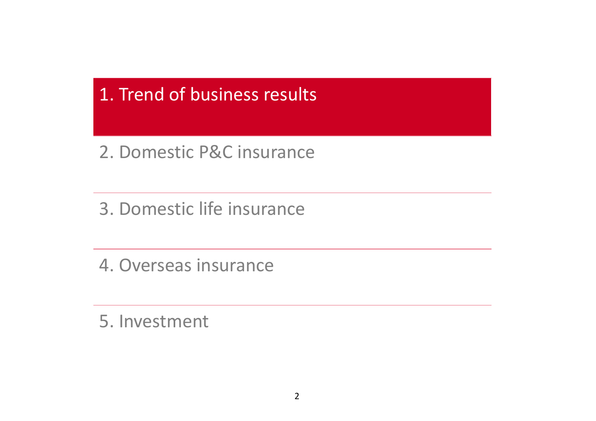1. Trend of business results

2. Domestic P&C insurance

3. Domestic life insurance

4. Overseas insurance

5. Investment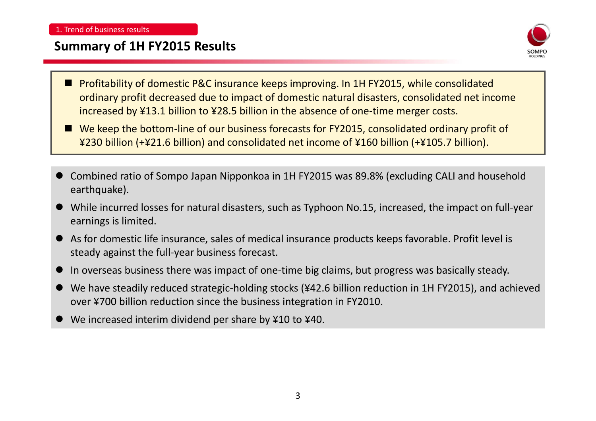### **Summary of 1H FY2015 Results**



- u. Profitability of domestic P&C insurance keeps improving. In 1H FY2015, while consolidated ordinary profit decreased due to impact of domestic natural disasters, consolidated net income increased by ¥13.1 billion to ¥28.5 billion in the absence of one‐time merger costs.
- We keep the bottom-line of our business forecasts for FY2015, consolidated ordinary profit of ¥230 billion (+¥21.6 billion) and consolidated net income of ¥160 billion (+¥105.7 billion).
- $\bullet$  Combined ratio of Sompo Japan Nipponkoa in 1H FY2015 was 89.8% (excluding CALI and household earthquake).
- $\bullet$  While incurred losses for natural disasters, such as Typhoon No.15, increased, the impact on full‐year earnings is limited.
- $\bullet$  As for domestic life insurance, sales of medical insurance products keeps favorable. Profit level is steady against the full‐year business forecast.
- $\bullet$ In overseas business there was impact of one‐time big claims, but progress was basically steady.
- $\bullet$  We have steadily reduced strategic‐holding stocks (¥42.6 billion reduction in 1H FY2015), and achieved over ¥700 billion reduction since the business integration in FY2010.
- $\bullet$ ● We increased interim dividend per share by ¥10 to ¥40.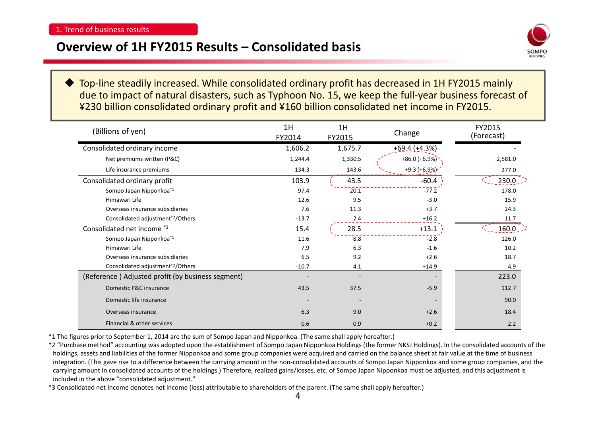### **Overview of 1H FY2015 Results – Consolidated basis**



♦ Top‐line steadily increased. While consolidated ordinary profit has decreased in 1H FY2015 mainly due to impact of natural disasters, such as Typhoon No. 15, we keep the full‐year business forecast of ¥230 billion consolidated ordinary profit and ¥160 billion consolidated net income in FY2015.

| (Billions of yen)                                 | 1H<br>FY2014 | 1H<br>FY2015 | Change           | FY2015<br>(Forecast) |
|---------------------------------------------------|--------------|--------------|------------------|----------------------|
| Consolidated ordinary income                      | 1,606.2      | 1,675.7      | $+69.4 (+4.3%)$  |                      |
| Net premiums written (P&C)                        | 1,244.4      | 1,330.5      | $+86.0 (+6.9\%)$ | 2,581.0              |
| Life insurance premiums                           | 134.3        | 143.6        | $+9.3 (+6.9%)$   | 277.0                |
| Consolidated ordinary profit                      | 103.9        | 43.5         | $-60.4$          | $230.0$ .            |
| Sompo Japan Nipponkoa*1                           | 97.4         | 20.1         | $-77.2$          | 178.0                |
| Himawari Life                                     | 12.6         | 9.5          | $-3.0$           | 15.9                 |
| Overseas insurance subsidiaries                   | 7.6          | 11.3         | $+3.7$           | 24.3                 |
| Consolidated adjustment*2/Others                  | $-13.7$      | 2.4          | $+16.2$          | 11.7                 |
| Consolidated net income *3                        | 15.4         | 28.5         | $+13.1$          | 160.0                |
| Sompo Japan Nipponkoa*1                           | 11.6         | 8.8          | $-2.8$           | 126.0                |
| Himawari Life                                     | 7.9          | 6.3          | $-1.6$           | 10.2                 |
| Overseas insurance subsidiaries                   | 6.5          | 9.2          | $+2.6$           | 18.7                 |
| Consolidated adjustment <sup>*2</sup> /Others     | $-10.7$      | 4.1          | $+14.9$          | 4.9                  |
| (Reference) Adjusted profit (by business segment) |              |              |                  | 223.0                |
| Domestic P&C insurance                            | 43.5         | 37.5         | $-5.9$           | 112.7                |
| Domestic life insurance                           |              |              |                  | 90.0                 |
| Overseas insurance                                | 6.3          | 9.0          | $+2.6$           | 18.4                 |
| Financial & other services                        | 0.6          | 0.9          | $+0.2$           | 2.2                  |

\*1 The figures prior to September 1, 2014 are the sum of Sompo Japan and Nipponkoa. (The same shall apply hereafter.)

\*2 "Purchase method" accounting was adopted upon the establishment of Sompo Japan Nipponkoa Holdings (the former NKSJ Holdings). In the consolidated accounts of the holdings, assets and liabilities of the former Nipponkoa and some group companies were acquired and carried on the balance sheet at fair value at the time of business integration. (This gave rise to <sup>a</sup> difference between the carrying amount in the non‐consolidated accounts of Sompo Japan Nipponkoa and some group companies, and the carrying amount in consolidated accounts of the holdings.) Therefore, realized gains/losses, etc. of Sompo Japan Nipponkoa must be adjusted, and this adjustment is included in the above "consolidated adjustment."

\*3 Consolidated net income denotes net income (loss) attributable to shareholders of the parent. (The same shall apply hereafter.)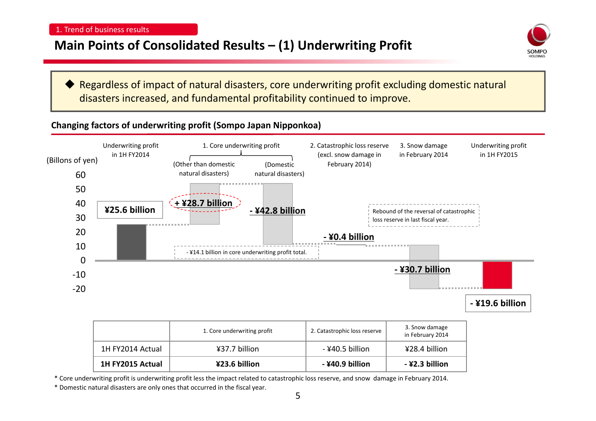### **Main Points of Consolidated Results – (1) Underwriting Profit**



♦ Regardless of impact of natural disasters, core underwriting profit excluding domestic natural disasters increased, and fundamental profitability continued to improve.

### **Changing factors of underwriting profit (Sompo Japan Nipponkoa)**



|                  | 1. Core underwriting profit | 2. Catastrophic loss reserve | 3. Snow damage<br>in February 2014 |
|------------------|-----------------------------|------------------------------|------------------------------------|
| 1H FY2014 Actual | ¥37.7 billion               | - ¥40.5 billion              | ¥28.4 billion                      |
| 1H FY2015 Actual | ¥23.6 billion               | - ¥40.9 billion              | -¥2.3 billion                      |

\* Core underwriting profit is underwriting profit less the impact related to catastrophic loss reserve, and snow damage in February 2014.

\* Domestic natural disasters are only ones that occurred in the fiscal year.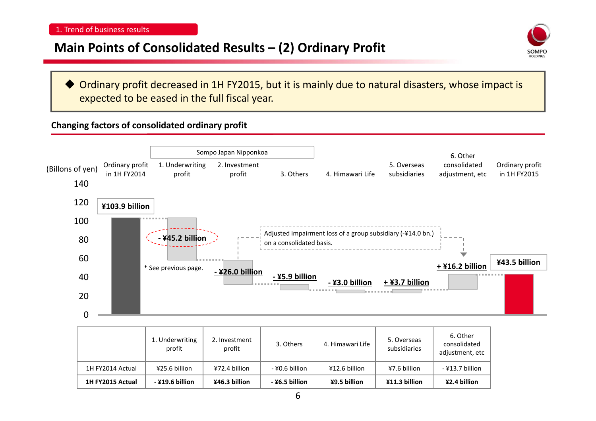### **Main Points of Consolidated Results – (2) Ordinary Profit**



♦ Ordinary profit decreased in 1H FY2015, but it is mainly due to natural disasters, whose impact is expected to be eased in the full fiscal year.

### **Changing factors of consolidated ordinary profit**



|                  | 1. Underwriting<br>profit | 2. Investment<br>profit | 3. Others      | 4. Himawari Life | 5. Overseas<br>subsidiaries | 6. Other<br>consolidated<br>adjustment, etc |
|------------------|---------------------------|-------------------------|----------------|------------------|-----------------------------|---------------------------------------------|
| 1H FY2014 Actual | ¥25.6 billion             | ¥72.4 billion           | - ¥0.6 billion | ¥12.6 billion    | ¥7.6 billion                | - ¥13.7 billion                             |
| 1H FY2015 Actual | $-$ ¥19.6 billion         | ¥46.3 billion           | - ¥6.5 billion | ¥9.5 billion     | ¥11.3 billion               | ¥2.4 billion                                |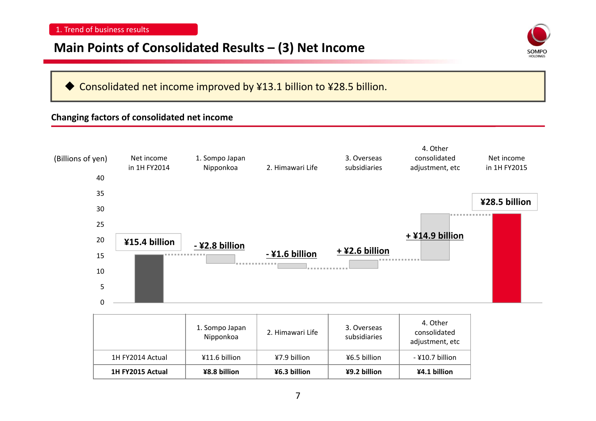### **Main Points of Consolidated Results – (3) Net Income**



#### ♦ Consolidated net income improved by ¥13.1 billion to ¥28.5 billion.

#### **Changing factors of consolidated net income**



**1H FY2015 Actual ¥8.8 billion ¥6.3 billion ¥9.2 billion ¥4.1 billion**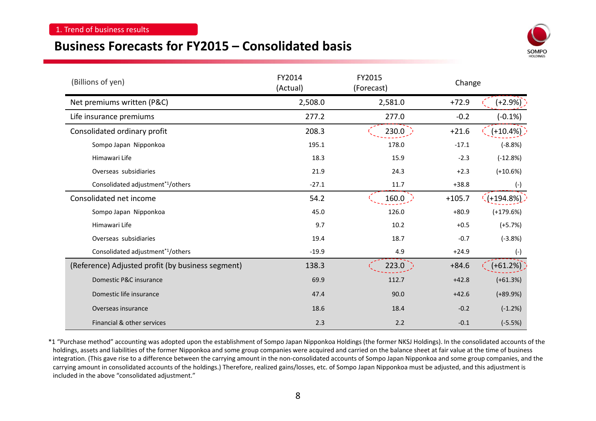### **Business Forecasts for FY2015 – Consolidated basis**



| (Billions of yen)                                 | FY2014<br>(Actual) | FY2015<br>(Forecast) | Change   |                         |  |
|---------------------------------------------------|--------------------|----------------------|----------|-------------------------|--|
| Net premiums written (P&C)                        | 2,508.0            | 2,581.0              | $+72.9$  | $(+2.9%)$               |  |
| Life insurance premiums                           | 277.2              | 277.0                | $-0.2$   | $(-0.1\%)$              |  |
| Consolidated ordinary profit                      | 208.3              | 230.0                | $+21.6$  | $(+10.4%)$              |  |
| Sompo Japan Nipponkoa                             | 195.1              | 178.0                | $-17.1$  | $(-8.8%)$               |  |
| Himawari Life                                     | 18.3               | 15.9                 | $-2.3$   | $(-12.8%)$              |  |
| Overseas subsidiaries                             | 21.9               | 24.3                 | $+2.3$   | $(+10.6%)$              |  |
| Consolidated adjustment <sup>*1</sup> /others     | $-27.1$            | 11.7                 | $+38.8$  | $(-)$                   |  |
| Consolidated net income                           | 54.2               | 160.0                | $+105.7$ | $\binom{1}{1}$ +194.8%) |  |
| Sompo Japan Nipponkoa                             | 45.0               | 126.0                | $+80.9$  | $(+179.6%)$             |  |
| Himawari Life                                     | 9.7                | 10.2                 | $+0.5$   | $(+5.7%)$               |  |
| Overseas subsidiaries                             | 19.4               | 18.7                 | $-0.7$   | $(-3.8%)$               |  |
| Consolidated adjustment <sup>*1</sup> /others     | $-19.9$            | 4.9                  | $+24.9$  | $(-)$                   |  |
| (Reference) Adjusted profit (by business segment) | 138.3              | 223.0                | $+84.6$  | $(+61.2%)$              |  |
| Domestic P&C insurance                            | 69.9               | 112.7                | $+42.8$  | $(+61.3%)$              |  |
| Domestic life insurance                           | 47.4               | 90.0                 | $+42.6$  | $(+89.9%)$              |  |
| Overseas insurance                                | 18.6               | 18.4                 | $-0.2$   | $(-1.2%)$               |  |
| Financial & other services                        | 2.3                | 2.2                  | $-0.1$   | $(-5.5%)$               |  |

\*1 "Purchase method" accounting was adopted upon the establishment of Sompo Japan Nipponkoa Holdings (the former NKSJ Holdings). In the consolidated accounts of the holdings, assets and liabilities of the former Nipponkoa and some group companies were acquired and carried on the balance sheet at fair value at the time of business integration. (This gave rise to <sup>a</sup> difference between the carrying amount in the non‐consolidated accounts of Sompo Japan Nipponkoa and some group companies, and the carrying amount in consolidated accounts of the holdings.) Therefore, realized gains/losses, etc. of Sompo Japan Nipponkoa must be adjusted, and this adjustment is included in the above "consolidated adjustment."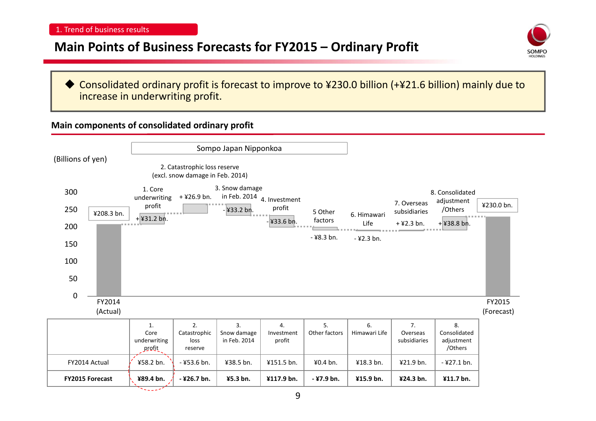### **Main Points of Business Forecasts for FY2015 – Ordinary Profit**



◆ Consolidated ordinary profit is forecast to improve to ¥230.0 billion (+¥21.6 billion) mainly due to increase in underwriting profit.

#### **Main components of consolidated ordinary profit**

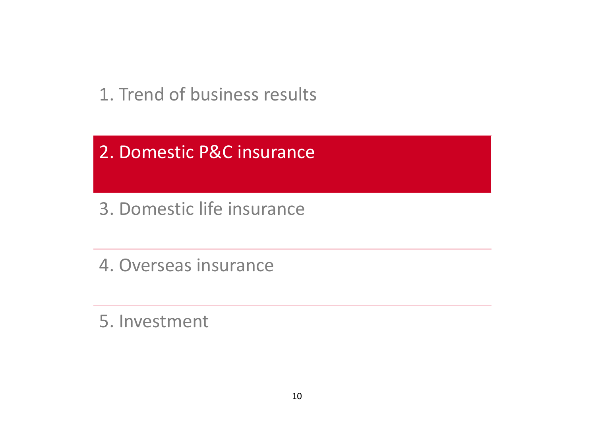1. Trend of business results

2. Domestic P&C insurance

3. Domestic life insurance

4. Overseas insurance

5. Investment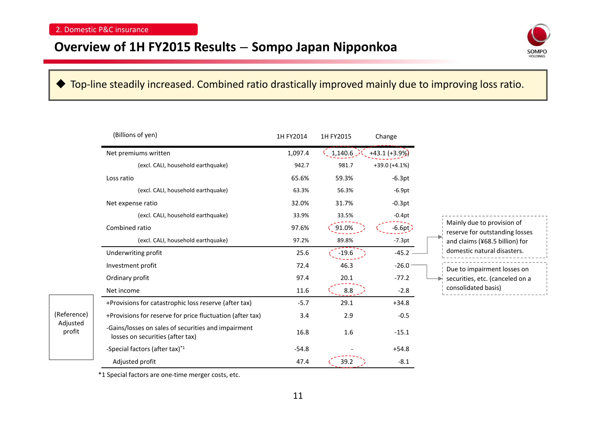### **Overview of 1H FY2015 Results** – **Sompo Japan Nipponkoa**



### ◆ Top-line steadily increased. Combined ratio drastically improved mainly due to improving loss ratio.

|                                   | (Billions of yen)                                                                       | 1H FY2014 | 1H FY2015 | Change          |                                                              |
|-----------------------------------|-----------------------------------------------------------------------------------------|-----------|-----------|-----------------|--------------------------------------------------------------|
|                                   | Net premiums written                                                                    | 1,097.4   | 1,140.6   | $+43.1 (+3.9%)$ |                                                              |
|                                   | (excl. CALI, household earthquake)                                                      | 942.7     | 981.7     | $+39.0 (+4.1%)$ |                                                              |
|                                   | Loss ratio                                                                              | 65.6%     | 59.3%     | $-6.3pt$        |                                                              |
|                                   | (excl. CALI, household earthquake)                                                      | 63.3%     | 56.3%     | $-6.9pt$        |                                                              |
|                                   | Net expense ratio                                                                       | 32.0%     | 31.7%     | $-0.3pt$        |                                                              |
|                                   | (excl. CALI, household earthquake)                                                      | 33.9%     | 33.5%     | $-0.4pt$        |                                                              |
|                                   | Combined ratio                                                                          | 97.6%     | 91.0%     | $-6.6pt$        | Mainly due to provision of<br>reserve for outstanding losses |
|                                   | (excl. CALI, household earthquake)                                                      | 97.2%     | 89.8%     | $-7.3pt$        | and claims (¥68.5 billion) for                               |
|                                   | Underwriting profit                                                                     | 25.6      | $-19.6$   | $-45.2$         | domestic natural disasters.                                  |
|                                   | Investment profit                                                                       | 72.4      | 46.3      | $-26.0$         | Due to impairment losses on                                  |
|                                   | Ordinary profit                                                                         | 97.4      | 20.1      | $-77.2$         | securities, etc. (canceled on a                              |
|                                   | Net income                                                                              | 11.6      | 8.8       | $-2.8$          | consolidated basis)                                          |
|                                   | +Provisions for catastrophic loss reserve (after tax)                                   | $-5.7$    | 29.1      | $+34.8$         |                                                              |
| (Reference)<br>Adjusted<br>profit | +Provisions for reserve for price fluctuation (after tax)                               | 3.4       | 2.9       | $-0.5$          |                                                              |
|                                   | -Gains/losses on sales of securities and impairment<br>losses on securities (after tax) | 16.8      | 1.6       | $-15.1$         |                                                              |
|                                   | -Special factors (after tax)*1                                                          | $-54.8$   |           | $+54.8$         |                                                              |
|                                   | Adjusted profit                                                                         | 47.4      | 39.2      | $-8.1$          |                                                              |

\*1 Special factors are one‐time merger costs, etc.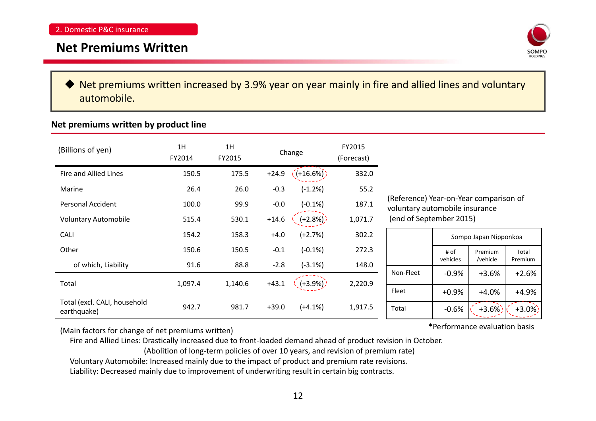### **Net Premiums Written**



◆ Net premiums written increased by 3.9% year on year mainly in fire and allied lines and voluntary automobile.

### **Net premiums written by product line**

| (Billions of yen)                           | 1H<br>FY2014 | 1H<br>FY2015 |         | Change      | FY2015<br>(Forecast) |                                                                                                     |          |                       |          |
|---------------------------------------------|--------------|--------------|---------|-------------|----------------------|-----------------------------------------------------------------------------------------------------|----------|-----------------------|----------|
| Fire and Allied Lines                       | 150.5        | 175.5        | $+24.9$ | $(+16.6%)$  | 332.0                |                                                                                                     |          |                       |          |
| Marine                                      | 26.4         | 26.0         | $-0.3$  | $(-1.2%)$   | 55.2                 |                                                                                                     |          |                       |          |
| <b>Personal Accident</b>                    | 100.0        | 99.9         | $-0.0$  | $(-0.1%)$   | 187.1                | (Reference) Year-on-Year comparison of<br>voluntary automobile insurance<br>(end of September 2015) |          |                       |          |
| <b>Voluntary Automobile</b>                 | 515.4        | 530.1        | $+14.6$ | $(+2.8\%)$  | 1,071.7              |                                                                                                     |          |                       |          |
| <b>CALI</b>                                 | 154.2        | 158.3        | $+4.0$  | $(+2.7%)$   | 302.2                |                                                                                                     |          | Sompo Japan Nipponkoa |          |
| Other                                       | 150.6        | 150.5        | $-0.1$  | $(-0.1%)$   | 272.3                |                                                                                                     | # of     | Premium               | Total    |
| of which, Liability                         | 91.6         | 88.8         | $-2.8$  | $(-3.1%)$   | 148.0                |                                                                                                     | vehicles | /vehicle              | Premium  |
|                                             |              |              |         |             |                      | Non-Fleet                                                                                           | $-0.9%$  | $+3.6%$               | $+2.6%$  |
| Total                                       | 1,097.4      | 1,140.6      | $+43.1$ | $( +3.9\%)$ | 2,220.9              | Fleet                                                                                               | $+0.9%$  | $+4.0%$               | $+4.9%$  |
| Total (excl. CALI, household<br>earthquake) | 942.7        | 981.7        | $+39.0$ | $(+4.1%)$   | 1,917.5              | Total                                                                                               | $-0.6%$  | $+3.6\%$              | $+3.0\%$ |

(Main factors for change of net premiums written)

Fire and Allied Lines: Drastically increased due to front‐loaded demand ahead of product revision in October.

(Abolition of long‐term policies of over 10 years, and revision of premium rate)

Voluntary Automobile: Increased mainly due to the impact of product and premium rate revisions.

Liability: Decreased mainly due to improvement of underwriting result in certain big contracts.

\*Performance evaluation basis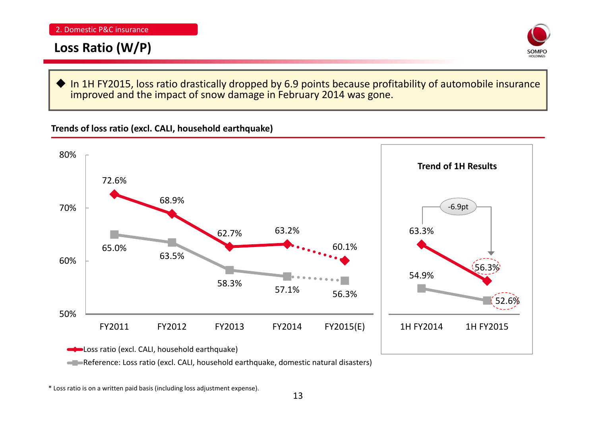# **Loss Ratio (W/P)**



♦ In 1H FY2015, loss ratio drastically dropped by 6.9 points because profitability of automobile insurance improved and the impact of snow damage in February 2014 was gone.

**Trends of loss ratio (excl. CALI, household earthquake)**



Reference: Loss ratio (excl. CALI, household earthquake, domestic natural disasters)

\* Loss ratio is on <sup>a</sup> written paid basis (including loss adjustment expense).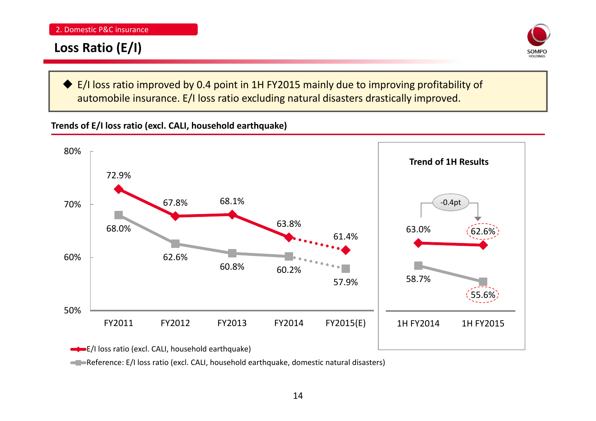# **Loss Ratio (E/I)**



◆ E/I loss ratio improved by 0.4 point in 1H FY2015 mainly due to improving profitability of automobile insurance. E/I loss ratio excluding natural disasters drastically improved.

**Trends of E/I loss ratio (excl. CALI, household earthquake)**



Reference: E/I loss ratio (excl. CALI, household earthquake, domestic natural disasters)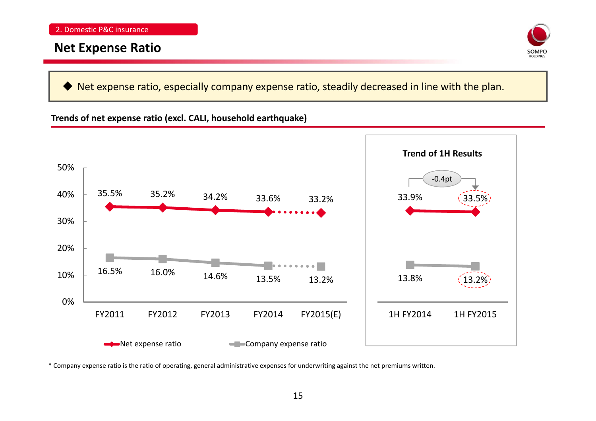### **Net Expense Ratio**



♦ Net expense ratio, especially company expense ratio, steadily decreased in line with the plan.

#### **Trends of net expense ratio (excl. CALI, household earthquake)**



\* Company expense ratio is the ratio of operating, general administrative expenses for underwriting against the net premiums written.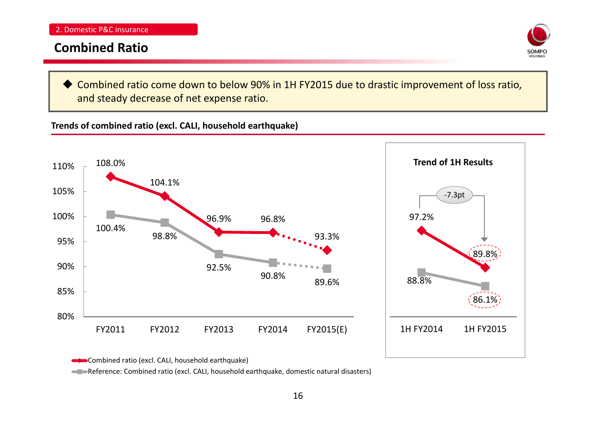### **Combined Ratio**



 Combined ratio come down to below 90% in 1H FY2015 due to drastic improvement of loss ratio, and steady decrease of net expense ratio.

**Trends of combined ratio (excl. CALI, household earthquake)**



Combined ratio (excl. CALI, household earthquake)

Reference: Combined ratio (excl. CALI, household earthquake, domestic natural disasters)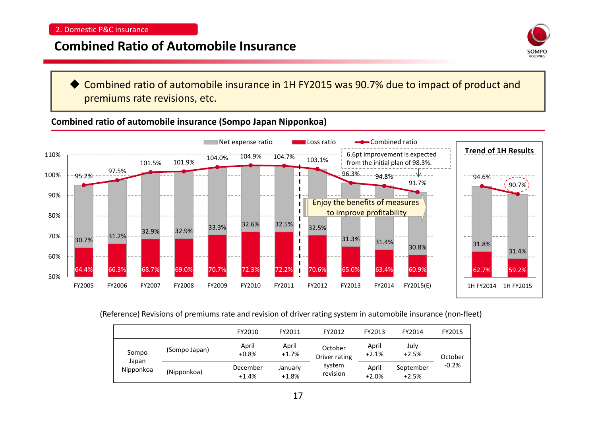### **Combined Ratio of Automobile Insurance**



♦ Combined ratio of automobile insurance in 1H FY2015 was 90.7% due to impact of product and premiums rate revisions, etc.

**Combined ratio of automobile insurance (Sompo Japan Nipponkoa)**



(Reference) Revisions of premiums rate and revision of driver rating system in automobile insurance (non‐fleet)

|                             |               | FY2010              | FY2011             | FY2012                                         | FY2013           | FY2014               | FY2015             |
|-----------------------------|---------------|---------------------|--------------------|------------------------------------------------|------------------|----------------------|--------------------|
| Sompo<br>Japan<br>Nipponkoa | (Sompo Japan) | April<br>$+0.8%$    | April<br>$+1.7%$   | October<br>Driver rating<br>system<br>revision | April<br>$+2.1%$ | July<br>$+2.5%$      | October<br>$-0.2%$ |
|                             | (Nipponkoa)   | December<br>$+1.4%$ | January<br>$+1.8%$ |                                                | April<br>$+2.0%$ | September<br>$+2.5%$ |                    |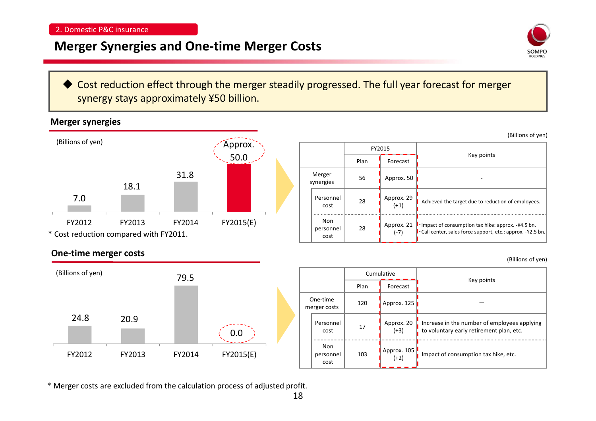# **Merger Synergies and One‐time Merger Costs**



(Billions of yen)

(Billions of yen)

 Cost reduction effect through the merger steadily progressed. The full year forecast for merger synergy stays approximately ¥50 billion.

### **Merger synergies**



|                     |                                | FY2015 |                      |                                                                                                                                   |
|---------------------|--------------------------------|--------|----------------------|-----------------------------------------------------------------------------------------------------------------------------------|
|                     |                                | Plan   | Forecast             | Key points                                                                                                                        |
| Merger<br>synergies |                                | 56     | Approx. 50           |                                                                                                                                   |
|                     | Personnel<br>cost              | 28     | Approx. 29<br>$(+1)$ | Achieved the target due to reduction of employees.                                                                                |
|                     | Non<br>28<br>personnel<br>cost |        | Approx. 21<br>$(-7)$ | <b>I</b> Impact of consumption tax hike: approx. $-44.5$ bn.<br>$\cdot$ Call center, sales force support, etc.: approx. -¥2.5 bn. |

#### **One‐time merger costs**



|                          |                                 |      | Cumulative            |                                                                                          |
|--------------------------|---------------------------------|------|-----------------------|------------------------------------------------------------------------------------------|
|                          |                                 | Plan | Forecast              | Key points                                                                               |
| One-time<br>merger costs |                                 | 120  | Approx. 125           |                                                                                          |
|                          | Personnel<br>cost               | 17   | Approx. 20<br>$(+3)$  | Increase in the number of employees applying<br>to voluntary early retirement plan, etc. |
|                          | Non<br>103<br>personnel<br>cost |      | Approx. 105<br>$(+2)$ | Impact of consumption tax hike, etc.                                                     |

\* Merger costs are excluded from the calculation process of adjusted profit.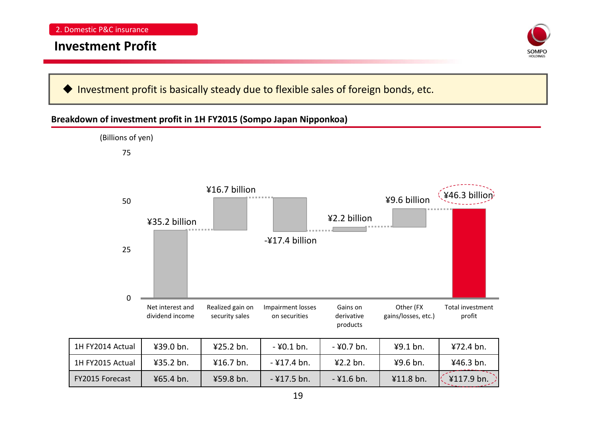### **Investment Profit**



♦ Investment profit is basically steady due to flexible sales of foreign bonds, etc.

#### **Breakdown of investment profit in 1H FY2015 (Sompo Japan Nipponkoa)**

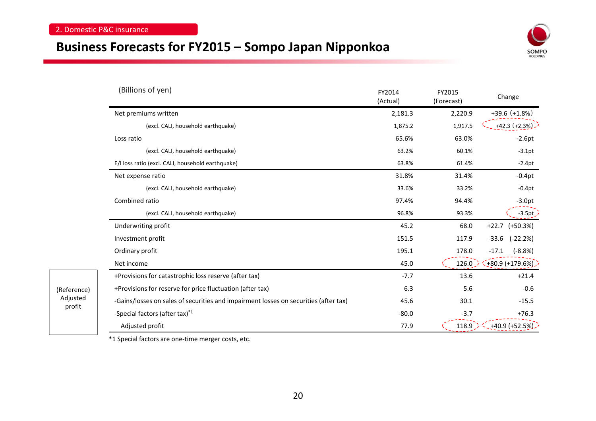(Reference) Adjusted profit

### **Business Forecasts for FY2015 – Sompo Japan Nipponkoa**



| (Billions of yen)                                                                    | FY2014<br>(Actual) | FY2015<br>(Forecast) | Change                |
|--------------------------------------------------------------------------------------|--------------------|----------------------|-----------------------|
| Net premiums written                                                                 | 2,181.3            | 2,220.9              | $+39.6 (+1.8%)$       |
| (excl. CALI, household earthquake)                                                   | 1,875.2            | 1,917.5              | $+42.3 (+2.3%)$       |
| Loss ratio                                                                           | 65.6%              | 63.0%                | $-2.6pt$              |
| (excl. CALI, household earthquake)                                                   | 63.2%              | 60.1%                | $-3.1pt$              |
| E/I loss ratio (excl. CALI, household earthquake)                                    | 63.8%              | 61.4%                | $-2.4pt$              |
| Net expense ratio                                                                    | 31.8%              | 31.4%                | $-0.4pt$              |
| (excl. CALI, household earthquake)                                                   | 33.6%              | 33.2%                | $-0.4pt$              |
| Combined ratio                                                                       | 97.4%              | 94.4%                | $-3.0pt$              |
| (excl. CALI, household earthquake)                                                   | 96.8%              | 93.3%                | $-3.5pt$              |
| Underwriting profit                                                                  | 45.2               | 68.0                 | $+22.7$<br>$(+50.3%)$ |
| Investment profit                                                                    | 151.5              | 117.9                | $-33.6$<br>$(-22.2%)$ |
| Ordinary profit                                                                      | 195.1              | 178.0                | $(-8.8%)$<br>$-17.1$  |
| Net income                                                                           | 45.0               | 126.0                | $(+80.9 (+179.6\%)$   |
| +Provisions for catastrophic loss reserve (after tax)                                | $-7.7$             | 13.6                 | $+21.4$               |
| +Provisions for reserve for price fluctuation (after tax)                            | 6.3                | 5.6                  | $-0.6$                |
| -Gains/losses on sales of securities and impairment losses on securities (after tax) | 45.6               | 30.1                 | $-15.5$               |
| -Special factors (after tax)*1                                                       | $-80.0$            | $-3.7$               | $+76.3$               |
| Adjusted profit                                                                      | 77.9               | 118.9                | +40.9 (+52.5%).       |

\*1 Special factors are one‐time merger costs, etc.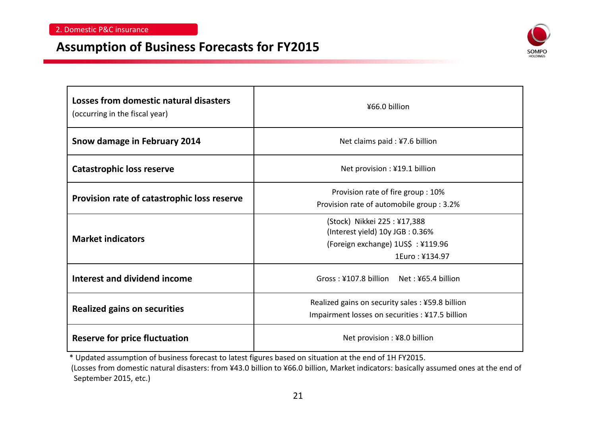### **Assumption of Business Forecasts for FY2015**



| Losses from domestic natural disasters<br>(occurring in the fiscal year) | ¥66.0 billion                                                                                                         |  |  |  |  |  |
|--------------------------------------------------------------------------|-----------------------------------------------------------------------------------------------------------------------|--|--|--|--|--|
| Snow damage in February 2014                                             | Net claims paid : ¥7.6 billion                                                                                        |  |  |  |  |  |
| <b>Catastrophic loss reserve</b>                                         | Net provision : ¥19.1 billion                                                                                         |  |  |  |  |  |
| Provision rate of catastrophic loss reserve                              | Provision rate of fire group : 10%<br>Provision rate of automobile group : 3.2%                                       |  |  |  |  |  |
| <b>Market indicators</b>                                                 | (Stock) Nikkei 225:¥17,388<br>(Interest yield) 10y JGB: 0.36%<br>(Foreign exchange) 1US\$ : ¥119.96<br>1Euro: ¥134.97 |  |  |  |  |  |
| Interest and dividend income                                             | Gross: ¥107.8 billion Net: ¥65.4 billion                                                                              |  |  |  |  |  |
| <b>Realized gains on securities</b>                                      | Realized gains on security sales : ¥59.8 billion<br>Impairment losses on securities : ¥17.5 billion                   |  |  |  |  |  |
| <b>Reserve for price fluctuation</b>                                     | Net provision: ¥8.0 billion                                                                                           |  |  |  |  |  |

\* Updated assumption of business forecast to latest figures based on situation at the end of 1H FY2015.

(Losses from domestic natural disasters: from ¥43.0 billion to ¥66.0 billion, Market indicators: basically assumed ones at the end of September 2015, etc.)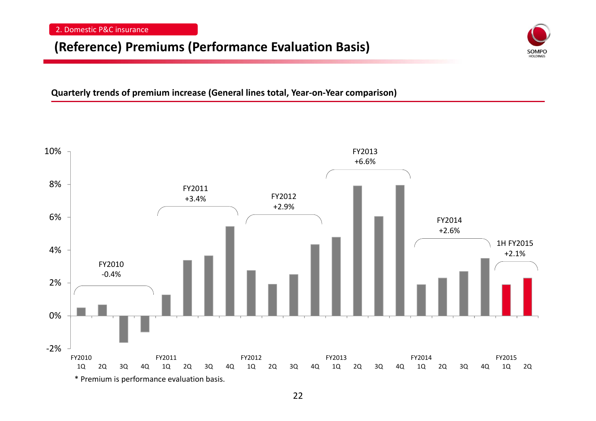### **(Reference) Premiums (Performance Evaluation Basis)**



**Quarterly trends of premium increase (General lines total, Year‐on‐Year comparison)**

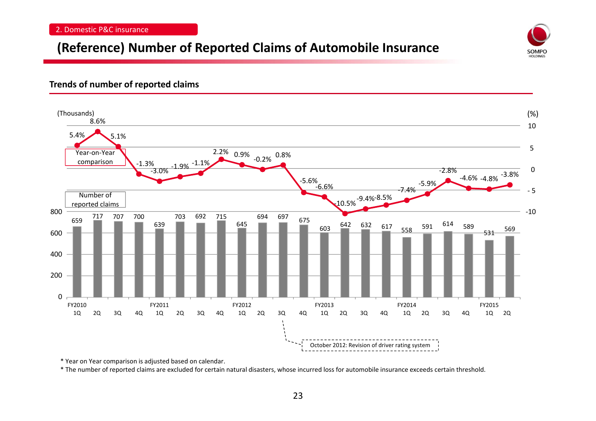# **(Reference) Number of Reported Claims of Automobile Insurance**

#### **Trends of number of reported claims**



SOMPO

\* Year on Year comparison is adjusted based on calendar.

\* The number of reported claims are excluded for certain natural disasters, whose incurred loss for automobile insurance exceeds certain threshold.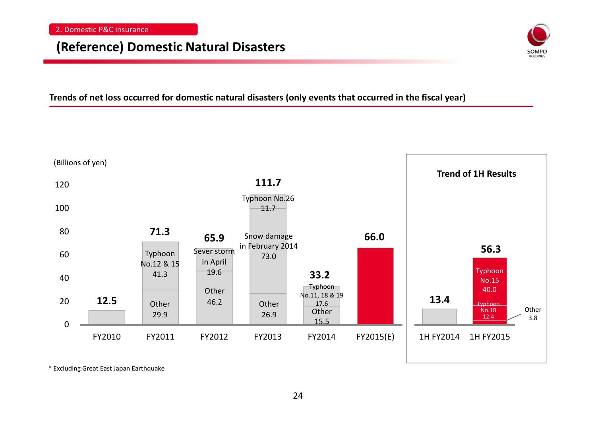### **(Reference) Domestic Natural Disasters**



**Trends of net loss occurred for domestic natural disasters (only events that occurred in the fiscal year)**



\* Excluding Great East Japan Earthquake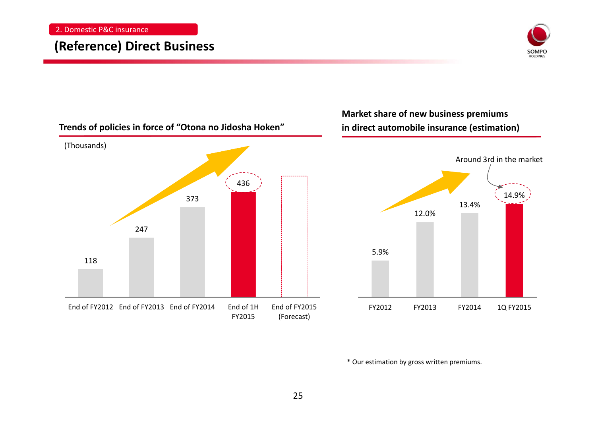### **(Reference) Direct Business**





\* Our estimation by gross written premiums.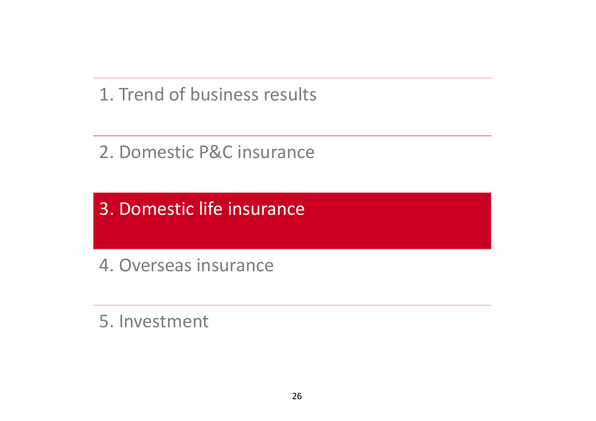1. Trend of business results

2. Domestic P&C insurance

3. Domestic life insurance

4. Overseas insurance

5. Investment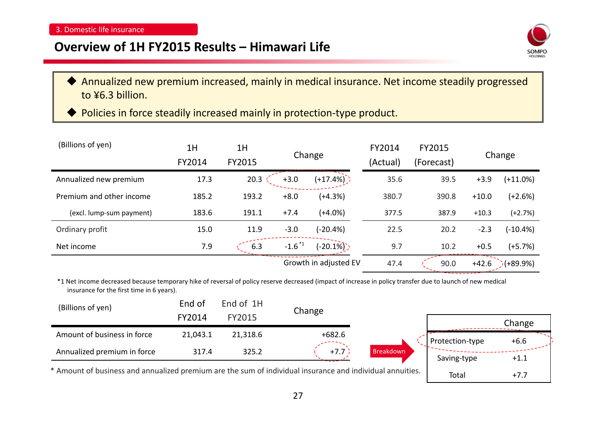### **Overview of 1H FY2015 Results – Himawari Life**



 $Total +7.7$ 

- ♦ Annualized new premium increased, mainly in medical insurance. Net income steadily progressed to ¥6.3 billion.
- ◆ Policies in force steadily increased mainly in protection-type product.

| (Billions of yen)        | 1H<br>FY2014 | 1H<br>FY2015 | Change                |             | FY2014<br>(Actual) | FY2015<br>(Forecast) |         | Change     |
|--------------------------|--------------|--------------|-----------------------|-------------|--------------------|----------------------|---------|------------|
| Annualized new premium   | 17.3         | 20.3         | $+3.0$                | $(+17.4%)$  | 35.6               | 39.5                 | $+3.9$  | $(+11.0%)$ |
| Premium and other income | 185.2        | 193.2        | $+8.0$                | $(+4.3%)$   | 380.7              | 390.8                | $+10.0$ | $(+2.6%)$  |
| (excl. lump-sum payment) | 183.6        | 191.1        | $+7.4$                | $(+4.0%)$   | 377.5              | 387.9                | $+10.3$ | $(+2.7%)$  |
| Ordinary profit          | 15.0         | 11.9         | $-3.0$                | $(-20.4%)$  | 22.5               | 20.2                 | $-2.3$  | (-10.4%)   |
| Net income               | 7.9          | 6.3          | $-1.6$ <sup>*1</sup>  | $(-20.1\%)$ | 9.7                | 10.2                 | $+0.5$  | $(+5.7%)$  |
|                          |              |              | Growth in adjusted EV |             | 47.4               | 90.0                 | $+42.6$ | $(+89.9%)$ |

\*1 Net income decreased because temporary hike of reversal of policy reserve decreased (impact of increase in policy transfer due to launch of new medical insurance for the first time in 6 years).

| (Billions of yen)                                                                                                                    | End of 1H<br>End of |          | Change   |           |                 |        |
|--------------------------------------------------------------------------------------------------------------------------------------|---------------------|----------|----------|-----------|-----------------|--------|
|                                                                                                                                      | FY2014              | FY2015   |          |           |                 | Change |
| Amount of business in force                                                                                                          | 21,043.1            | 21,318.6 | $+682.6$ |           | Protection-type | $+6.6$ |
| Annualized premium in force                                                                                                          | 317.4               | 325.2    | $+7.7$   | Breakdown | Saving-type     | $+1.1$ |
| اممثلث بمممر امتنامات الممارمون وممسور بممثل امتناك أباد والمستمر ومالح وسمسون ومستمر المحتام بمستمر ومممتون والكم للمستموم فالمستمر |                     |          |          |           |                 |        |

\*Amount of business and annualized premium are the sum of individual insurance and individual annuities.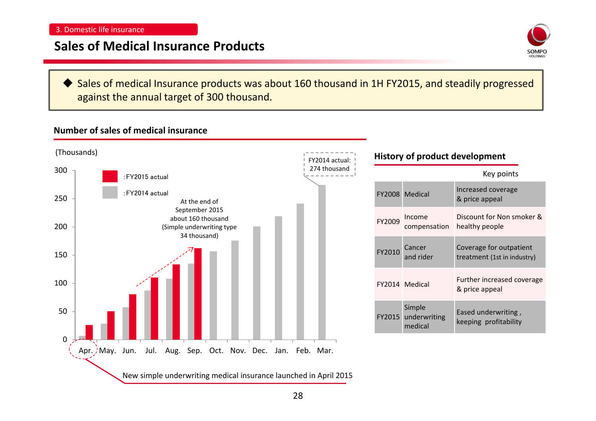## **Sales of Medical Insurance Products**



♦ Sales of medical Insurance products was about 160 thousand in 1H FY2015, and steadily progressed against the annual target of 300 thousand.

### **Number of sales of medical insurance**

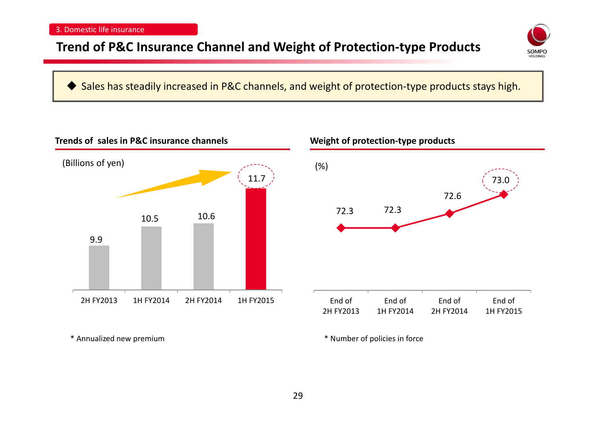# **Trend of P&C Insurance Channel and Weight of Protection‐type Products**



### ◆ Sales has steadily increased in P&C channels, and weight of protection-type products stays high.



\* Annualized new





\* Number of policies in force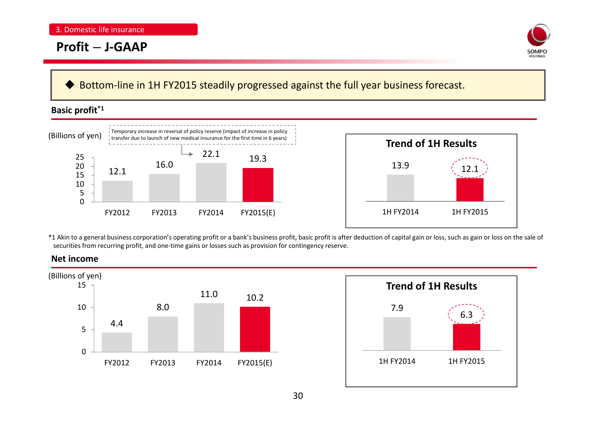### **Profit** – **J‐GAAP**



#### ♦ Bottom‐line in 1H FY2015 steadily progressed against the full year business forecast.

#### **Basic profit\*1**



\*1 Akin to <sup>a</sup> general business corporation's operating profit or <sup>a</sup> bank's business profit, basic profit is after deduction of capital gain or loss, such as gain or loss on the sale of securities from recurring profit, and one‐time gains or losses such as provision for contingency reserve.



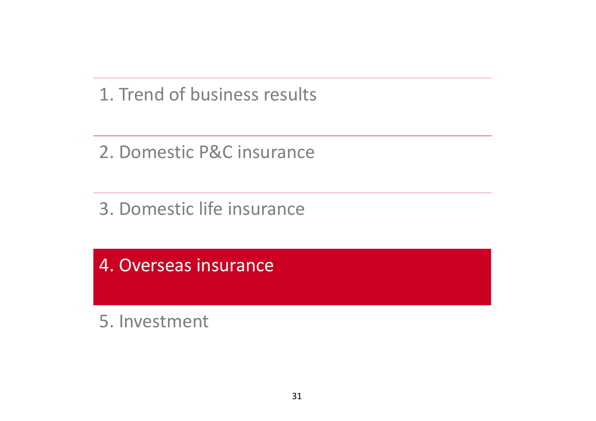1. Trend of business results

2. Domestic P&C insurance

3. Domestic life insurance

4. Overseas insurance

5. Investment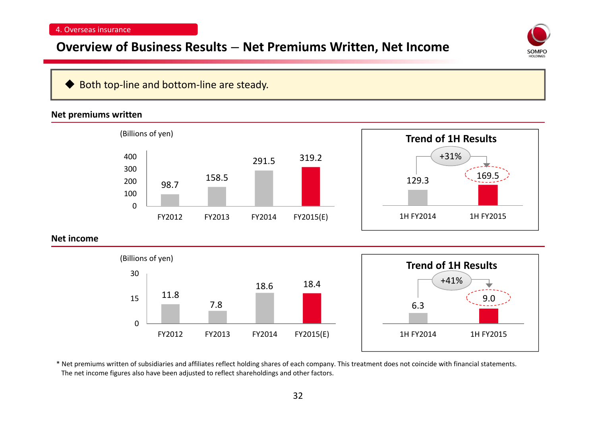### **Overview of Business Results** – **Net Premiums Written, Net Income**



#### ♦ Both top‐line and bottom‐line are steady.

#### **Net premiums written**



\* Net premiums written of subsidiaries and affiliates reflect holding shares of each company. This treatment does not coincide with financial statements. The net income figures also have been adjusted to reflect shareholdings and other factors.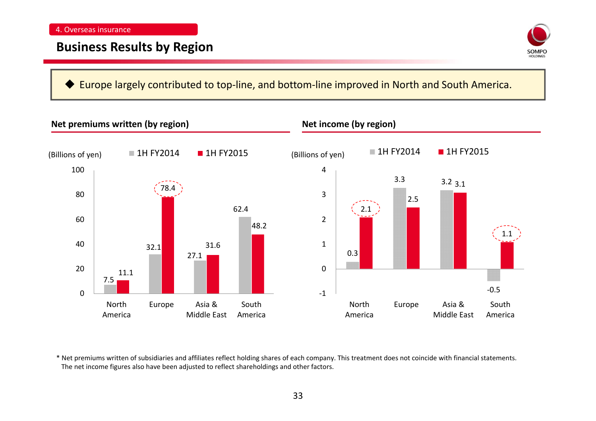

#### ♦ Europe largely contributed to top‐line, and bottom‐line improved in North and South America.



\* Net premiums written of subsidiaries and affiliates reflect holding shares of each company. This treatment does not coincide with financial statements. The net income figures also have been adjusted to reflect shareholdings and other factors.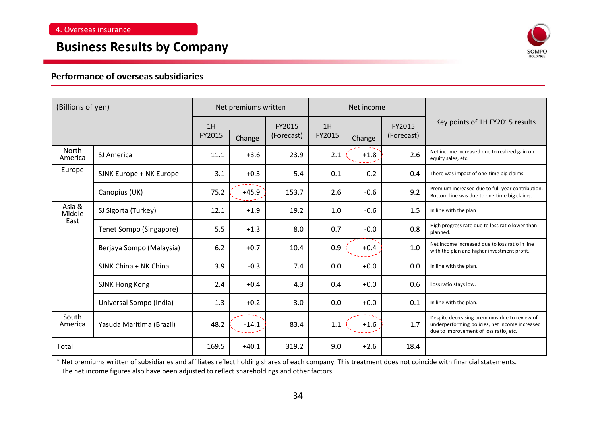### **Business Results by Company**



#### **Performance of overseas subsidiaries**

| (Billions of yen) |                          | Net premiums written |         |                      | Net income   |        |                      |                                                                                                                                          |
|-------------------|--------------------------|----------------------|---------|----------------------|--------------|--------|----------------------|------------------------------------------------------------------------------------------------------------------------------------------|
|                   |                          | 1H<br>FY2015         | Change  | FY2015<br>(Forecast) | 1H<br>FY2015 | Change | FY2015<br>(Forecast) | Key points of 1H FY2015 results                                                                                                          |
| North<br>America  | SJ America               | 11.1                 | $+3.6$  | 23.9                 | 2.1          | $+1.8$ | 2.6                  | Net income increased due to realized gain on<br>equity sales, etc.                                                                       |
| Europe            | SJNK Europe + NK Europe  | 3.1                  | $+0.3$  | 5.4                  | $-0.1$       | $-0.2$ | 0.4                  | There was impact of one-time big claims.                                                                                                 |
|                   | Canopius (UK)            | 75.2                 | $+45.9$ | 153.7                | 2.6          | $-0.6$ | 9.2                  | Premium increased due to full-year contribution.<br>Bottom-line was due to one-time big claims.                                          |
| Asia &<br>Middle  | SJ Sigorta (Turkey)      | 12.1                 | $+1.9$  | 19.2                 | 1.0          | $-0.6$ | 1.5                  | In line with the plan.                                                                                                                   |
| East              | Tenet Sompo (Singapore)  | 5.5                  | $+1.3$  | 8.0                  | 0.7          | $-0.0$ | 0.8                  | High progress rate due to loss ratio lower than<br>planned.                                                                              |
|                   | Berjaya Sompo (Malaysia) | 6.2                  | $+0.7$  | 10.4                 | 0.9          | $+0.4$ | 1.0                  | Net income increased due to loss ratio in line<br>with the plan and higher investment profit.                                            |
|                   | SJNK China + NK China    | 3.9                  | $-0.3$  | 7.4                  | 0.0          | $+0.0$ | 0.0                  | In line with the plan.                                                                                                                   |
|                   | <b>SJNK Hong Kong</b>    | 2.4                  | $+0.4$  | 4.3                  | 0.4          | $+0.0$ | 0.6                  | Loss ratio stays low.                                                                                                                    |
|                   | Universal Sompo (India)  | 1.3                  | $+0.2$  | 3.0                  | 0.0          | $+0.0$ | 0.1                  | In line with the plan.                                                                                                                   |
| South<br>America  | Yasuda Maritima (Brazil) | 48.2                 | $-14.1$ | 83.4                 | 1.1          | $+1.6$ | 1.7                  | Despite decreasing premiums due to review of<br>underperforming policies, net income increased<br>due to improvement of loss ratio, etc. |
| Total             |                          | 169.5                | $+40.1$ | 319.2                | 9.0          | $+2.6$ | 18.4                 |                                                                                                                                          |

\* Net premiums written of subsidiaries and affiliates reflect holding shares of each company. This treatment does not coincide with financial statements. The net income figures also have been adjusted to reflect shareholdings and other factors.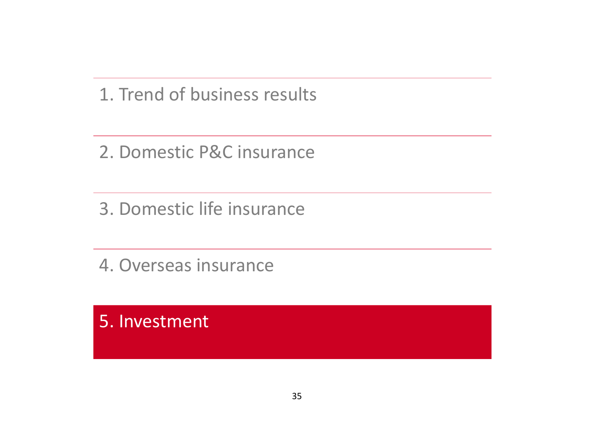1. Trend of business results

2. Domestic P&C insurance

3. Domestic life insurance

4. Overseas insurance

5. Investment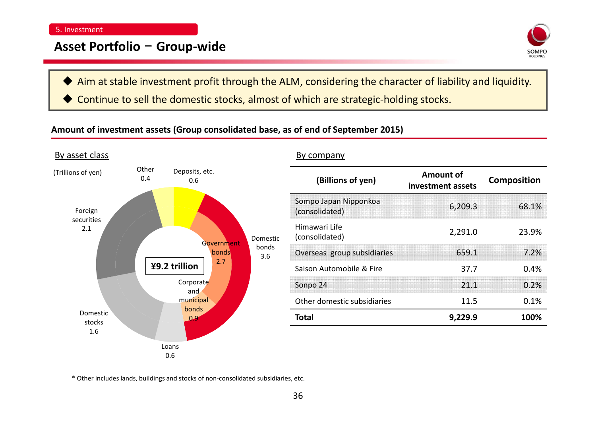### **Asset Portfolio** – **Group‐wide**



- ♦ Aim at stable investment profit through the ALM, considering the character of liability and liquidity.
- ♦ Continue to sell the domestic stocks, almost of which are strategic‐holding stocks.

### **Amount of investment assets (Group consolidated base, as of end of September 2015)**

| By asset class     |                       |                             |          | By company                              |                                       |                    |
|--------------------|-----------------------|-----------------------------|----------|-----------------------------------------|---------------------------------------|--------------------|
| (Trillions of yen) | Other<br>0.4          | Deposits, etc.<br>0.6       |          | (Billions of yen)                       | <b>Amount of</b><br>investment assets | <b>Composition</b> |
| Foreign            |                       |                             |          | Sompo Japan Nipponkoa<br>(consolidated) | 6,209.3                               | 68.1%              |
| securities<br>2.1  |                       | Government                  | Domestic | Himawari Life<br>(consolidated)         | 2,291.0                               | 23.9%              |
| ¥9.2 trillion      | bonds<br>bonds<br>3.6 | Overseas group subsidiaries | 659.1    | 7.2%                                    |                                       |                    |
|                    |                       | 2.7                         |          | Saison Automobile & Fire                | 37.7                                  | 0.4%               |
|                    |                       | Corporate<br>and            |          | Sonpo 24                                | 21.1                                  | 0.2%               |
|                    |                       | municipal                   |          | Other domestic subsidiaries             | 11.5                                  | 0.1%               |
| Domestic<br>stocks |                       | bonds<br>$\Omega$           |          | <b>Total</b>                            | 9,229.9                               | 100%               |
| 1.6                |                       |                             |          |                                         |                                       |                    |
|                    |                       | Loans                       |          |                                         |                                       |                    |
|                    |                       | 0.6                         |          |                                         |                                       |                    |

\* Other includes lands, buildings and stocks of non‐consolidated subsidiaries, etc.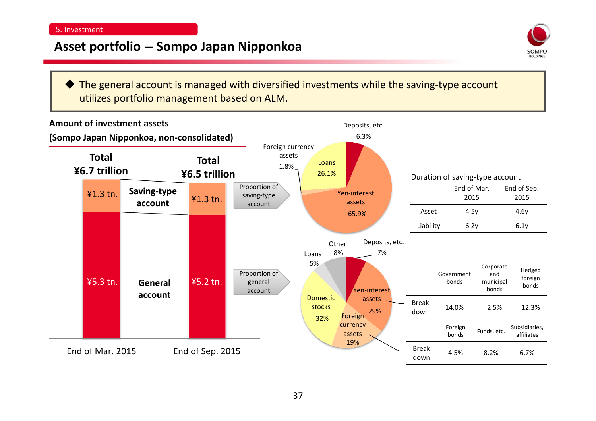### **Asset portfolio** – **Sompo Japan Nipponkoa**



◆ The general account is managed with diversified investments while the saving-type account utilizes portfolio management based on ALM.

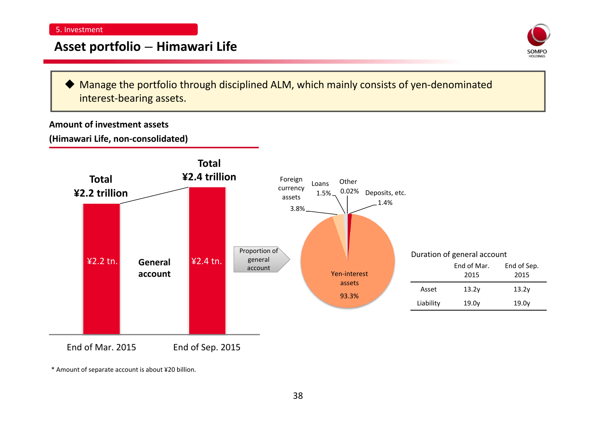### **Asset portfolio** – **Himawari Life**



♦ Manage the portfolio through disciplined ALM, which mainly consists of yen‐denominated interest‐bearing assets.

#### **Amount of investment assets**

**(Himawari Life, non‐consolidated)**



\* Amount of separate account is about ¥20 billion.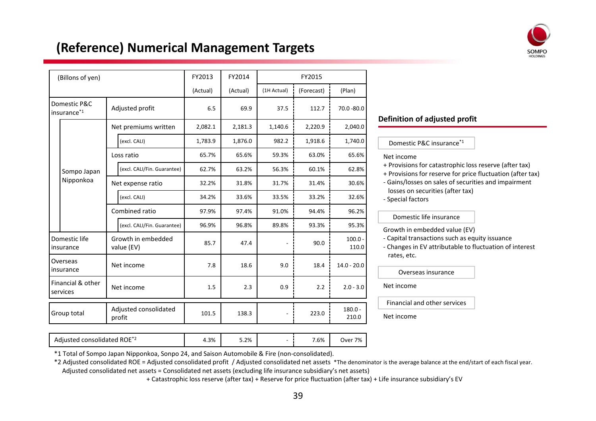

# **(Reference) Numerical Management Targets**

| (Billons of yen)                                               |                                                            |                   | FY2013                          | FY2014   |          | FY2015             |             |                    |  |
|----------------------------------------------------------------|------------------------------------------------------------|-------------------|---------------------------------|----------|----------|--------------------|-------------|--------------------|--|
|                                                                |                                                            |                   |                                 | (Actual) | (Actual) | (1H Actual)        | (Forecast)  | (Plan)             |  |
|                                                                | Domestic P&C<br>Adjusted profit<br>insurance <sup>*1</sup> |                   |                                 | 6.5      | 69.9     | 37.5               | 112.7       | 70.0 - 80.0        |  |
|                                                                |                                                            |                   | Net premiums written            | 2,082.1  | 2,181.3  | 1,140.6            | 2,220.9     | 2,040.0            |  |
|                                                                |                                                            |                   | (excl. CALI)                    | 1,783.9  | 1,876.0  | 982.2              | 1,918.6     | 1,740.0            |  |
|                                                                |                                                            |                   | Loss ratio                      | 65.7%    | 65.6%    | 59.3%              | 63.0%       | 65.6%              |  |
|                                                                | Sompo Japan<br>Nipponkoa                                   |                   | (excl. CALI/Fin. Guarantee)     | 62.7%    | 63.2%    | 56.3%              | 60.1%       | 62.8%              |  |
|                                                                |                                                            | Net expense ratio |                                 | 32.2%    | 31.8%    | 31.7%              | 31.4%       | 30.6%              |  |
|                                                                |                                                            |                   | (excl. CALI)                    | 34.2%    | 33.6%    | 33.5%              | 33.2%       | 32.6%              |  |
|                                                                |                                                            |                   | Combined ratio                  | 97.9%    | 97.4%    | 91.0%              | 94.4%       | 96.2%              |  |
|                                                                |                                                            |                   | (excl. CALI/Fin. Guarantee)     | 96.9%    | 96.8%    | 89.8%              | 93.3%       | 95.3%              |  |
| Growth in embedded<br>Domestic life<br>value (EV)<br>insurance |                                                            | 85.7              | 47.4                            |          | 90.0     | $100.0 -$<br>110.0 |             |                    |  |
| Overseas<br>insurance                                          |                                                            |                   | Net income                      | 7.8      | 18.6     | 9.0                | 18.4        | $14.0 - 20.0$      |  |
| Financial & other<br>Net income<br>services                    |                                                            |                   | 1.5                             | 2.3      | 0.9      | 2.2                | $2.0 - 3.0$ |                    |  |
|                                                                | Group total                                                |                   | Adjusted consolidated<br>profit | 101.5    | 138.3    |                    | 223.0       | $180.0 -$<br>210.0 |  |

#### **Definition of adjusted profit**

Domestic P&C insurance\*1

#### Net income

- + Provisions for catastrophic loss reserve (after tax)
- + Provisions for reserve for price fluctuation (after tax)
- ‐ Gains/losses on sales of securities and impairment losses on securities (after tax)
- ‐ Special factors

#### Domestic life insurance

Growth in embedded value (EV)

- ‐ Capital transactions such as equity issuance
- ‐ Changes in EV attributable to fluctuation of interest rates, etc.

Overseas insurance

Net income

Financial and other services

Net income

Adjusted consolidated ROE\*2 4.3% 5.2% ‐ 7.6% Over 7%

\*1 Total of Sompo Japan Nipponkoa, Sonpo 24, and Saison Automobile & Fire (non‐consolidated).

\*2 Adjusted consolidated ROE <sup>=</sup> Adjusted consolidated profit / Adjusted consolidated net assets \*The denominator is the average balance at the end/start of each fiscal year. Adjusted consolidated net assets <sup>=</sup> Consolidated net assets (excluding life insurance subsidiary's net assets)

+ Catastrophic loss reserve (after tax) <sup>+</sup> Reserve for price fluctuation (after tax) <sup>+</sup> Life insurance subsidiary's EV